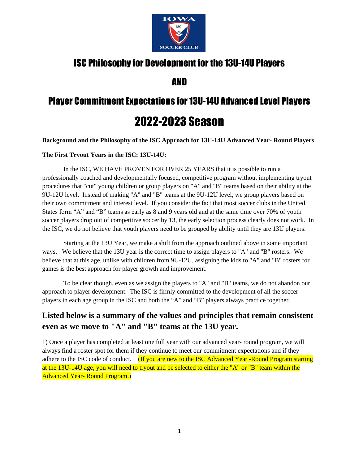

# ISC Philosophy for Development for the 13U-14U Players

AND

# Player Commitment Expectations for 13U-14U Advanced Level Players 2022-2023 Season

**Background and the Philosophy of the ISC Approach for 13U-14U Advanced Year- Round Players**

**The First Tryout Years in the ISC: 13U-14U:** 

In the ISC, WE HAVE PROVEN FOR OVER 25 YEARS that it is possible to run a professionally coached and developmentally focused, competitive program without implementing tryout procedures that "cut" young children or group players on "A" and "B" teams based on their ability at the 9U-12U level. Instead of making "A" and "B" teams at the 9U-12U level, we group players based on their own commitment and interest level. If you consider the fact that most soccer clubs in the United States form "A" and "B" teams as early as 8 and 9 years old and at the same time over 70% of youth soccer players drop out of competitive soccer by 13, the early selection process clearly does not work. In the ISC, we do not believe that youth players need to be grouped by ability until they are 13U players.

Starting at the 13U Year, we make a shift from the approach outlined above in some important ways. We believe that the 13U year is the correct time to assign players to "A" and "B" rosters. We believe that at this age, unlike with children from 9U-12U, assigning the kids to "A" and "B" rosters for games is the best approach for player growth and improvement.

To be clear though, even as we assign the players to "A" and "B" teams, we do not abandon our approach to player development. The ISC is firmly committed to the development of all the soccer players in each age group in the ISC and both the "A" and "B" players always practice together.

# **Listed below is a summary of the values and principles that remain consistent even as we move to "A" and "B" teams at the 13U year.**

1) Once a player has completed at least one full year with our advanced year- round program, we will always find a roster spot for them if they continue to meet our commitment expectations and if they adhere to the ISC code of conduct. (If you are new to the ISC Advanced Year -Round Program starting at the 13U-14U age, you will need to tryout and be selected to either the "A" or "B" team within the Advanced Year- Round Program.)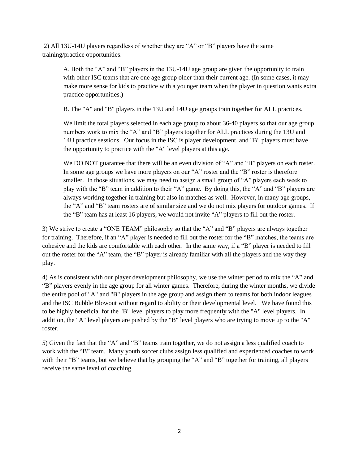2) All 13U-14U players regardless of whether they are "A" or "B" players have the same training/practice opportunities.

A. Both the "A" and "B" players in the 13U-14U age group are given the opportunity to train with other ISC teams that are one age group older than their current age. (In some cases, it may make more sense for kids to practice with a younger team when the player in question wants extra practice opportunities.)

B. The "A" and "B" players in the 13U and 14U age groups train together for ALL practices.

We limit the total players selected in each age group to about 36-40 players so that our age group numbers work to mix the "A" and "B" players together for ALL practices during the 13U and 14U practice sessions. Our focus in the ISC is player development, and "B" players must have the opportunity to practice with the "A" level players at this age.

We DO NOT guarantee that there will be an even division of "A" and "B" players on each roster. In some age groups we have more players on our "A" roster and the "B" roster is therefore smaller. In those situations, we may need to assign a small group of "A" players each week to play with the "B" team in addition to their "A" game. By doing this, the "A" and "B" players are always working together in training but also in matches as well. However, in many age groups, the "A" and "B" team rosters are of similar size and we do not mix players for outdoor games. If the "B" team has at least 16 players, we would not invite "A" players to fill out the roster.

3) We strive to create a "ONE TEAM" philosophy so that the "A" and "B" players are always together for training. Therefore, if an "A" player is needed to fill out the roster for the "B" matches, the teams are cohesive and the kids are comfortable with each other. In the same way, if a "B" player is needed to fill out the roster for the "A" team, the "B" player is already familiar with all the players and the way they play.

4) As is consistent with our player development philosophy, we use the winter period to mix the "A" and "B" players evenly in the age group for all winter games. Therefore, during the winter months, we divide the entire pool of "A" and "B" players in the age group and assign them to teams for both indoor leagues and the ISC Bubble Blowout without regard to ability or their developmental level. We have found this to be highly beneficial for the "B" level players to play more frequently with the "A" level players. In addition, the "A" level players are pushed by the "B" level players who are trying to move up to the "A" roster.

5) Given the fact that the "A" and "B" teams train together, we do not assign a less qualified coach to work with the "B" team. Many youth soccer clubs assign less qualified and experienced coaches to work with their "B" teams, but we believe that by grouping the "A" and "B" together for training, all players receive the same level of coaching.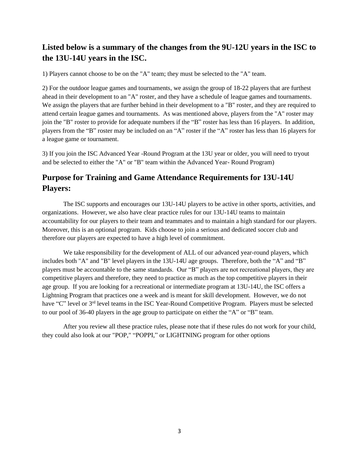# **Listed below is a summary of the changes from the 9U-12U years in the ISC to the 13U-14U years in the ISC.**

1) Players cannot choose to be on the "A" team; they must be selected to the "A" team.

2) For the outdoor league games and tournaments, we assign the group of 18-22 players that are furthest ahead in their development to an "A" roster, and they have a schedule of league games and tournaments. We assign the players that are further behind in their development to a "B" roster, and they are required to attend certain league games and tournaments. As was mentioned above, players from the "A" roster may join the "B" roster to provide for adequate numbers if the "B" roster has less than 16 players. In addition, players from the "B" roster may be included on an "A" roster if the "A" roster has less than 16 players for a league game or tournament.

3) If you join the ISC Advanced Year -Round Program at the 13U year or older, you will need to tryout and be selected to either the "A" or "B" team within the Advanced Year- Round Program)

## **Purpose for Training and Game Attendance Requirements for 13U-14U Players:**

The ISC supports and encourages our 13U-14U players to be active in other sports, activities, and organizations. However, we also have clear practice rules for our 13U-14U teams to maintain accountability for our players to their team and teammates and to maintain a high standard for our players. Moreover, this is an optional program. Kids choose to join a serious and dedicated soccer club and therefore our players are expected to have a high level of commitment.

We take responsibility for the development of ALL of our advanced year-round players, which includes both "A" and "B" level players in the 13U-14U age groups. Therefore, both the "A" and "B" players must be accountable to the same standards. Our "B" players are not recreational players, they are competitive players and therefore, they need to practice as much as the top competitive players in their age group. If you are looking for a recreational or intermediate program at 13U-14U, the ISC offers a Lightning Program that practices one a week and is meant for skill development. However, we do not have "C" level or 3<sup>rd</sup> level teams in the ISC Year-Round Competitive Program. Players must be selected to our pool of 36-40 players in the age group to participate on either the "A" or "B" team.

After you review all these practice rules, please note that if these rules do not work for your child, they could also look at our "POP," "POPPI," or LIGHTNING program for other options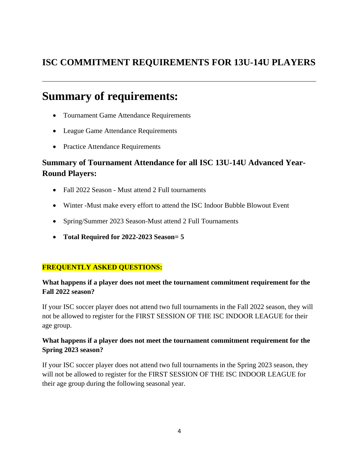# **ISC COMMITMENT REQUIREMENTS FOR 13U-14U PLAYERS**

\_\_\_\_\_\_\_\_\_\_\_\_\_\_\_\_\_\_\_\_\_\_\_\_\_\_\_\_\_\_\_\_\_\_\_\_\_\_\_\_\_\_\_\_\_\_\_\_\_\_\_\_\_\_\_\_\_\_\_\_\_\_\_\_\_\_\_\_\_\_\_\_\_\_\_\_\_\_\_\_\_\_\_\_\_

# **Summary of requirements:**

- Tournament Game Attendance Requirements
- League Game Attendance Requirements
- Practice Attendance Requirements

# **Summary of Tournament Attendance for all ISC 13U-14U Advanced Year-Round Players:**

- Fall 2022 Season Must attend 2 Full tournaments
- Winter -Must make every effort to attend the ISC Indoor Bubble Blowout Event
- Spring/Summer 2023 Season-Must attend 2 Full Tournaments
- **Total Required for 2022-2023 Season= 5**

### **FREQUENTLY ASKED QUESTIONS:**

### **What happens if a player does not meet the tournament commitment requirement for the Fall 2022 season?**

If your ISC soccer player does not attend two full tournaments in the Fall 2022 season, they will not be allowed to register for the FIRST SESSION OF THE ISC INDOOR LEAGUE for their age group.

### **What happens if a player does not meet the tournament commitment requirement for the Spring 2023 season?**

If your ISC soccer player does not attend two full tournaments in the Spring 2023 season, they will not be allowed to register for the FIRST SESSION OF THE ISC INDOOR LEAGUE for their age group during the following seasonal year.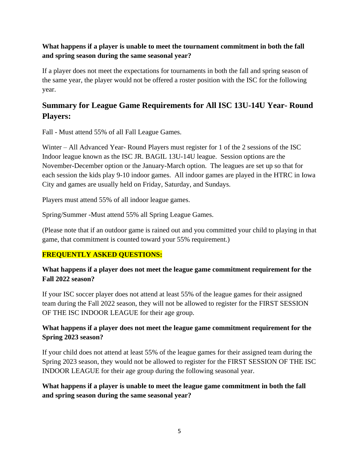### **What happens if a player is unable to meet the tournament commitment in both the fall and spring season during the same seasonal year?**

If a player does not meet the expectations for tournaments in both the fall and spring season of the same year, the player would not be offered a roster position with the ISC for the following year.

# **Summary for League Game Requirements for All ISC 13U-14U Year- Round Players:**

Fall - Must attend 55% of all Fall League Games.

Winter – All Advanced Year- Round Players must register for 1 of the 2 sessions of the ISC Indoor league known as the ISC JR. BAGIL 13U-14U league. Session options are the November-December option or the January-March option. The leagues are set up so that for each session the kids play 9-10 indoor games. All indoor games are played in the HTRC in Iowa City and games are usually held on Friday, Saturday, and Sundays.

Players must attend 55% of all indoor league games.

Spring/Summer -Must attend 55% all Spring League Games.

(Please note that if an outdoor game is rained out and you committed your child to playing in that game, that commitment is counted toward your 55% requirement.)

### **FREQUENTLY ASKED QUESTIONS:**

### **What happens if a player does not meet the league game commitment requirement for the Fall 2022 season?**

If your ISC soccer player does not attend at least 55% of the league games for their assigned team during the Fall 2022 season, they will not be allowed to register for the FIRST SESSION OF THE ISC INDOOR LEAGUE for their age group.

### **What happens if a player does not meet the league game commitment requirement for the Spring 2023 season?**

If your child does not attend at least 55% of the league games for their assigned team during the Spring 2023 season, they would not be allowed to register for the FIRST SESSION OF THE ISC INDOOR LEAGUE for their age group during the following seasonal year.

### **What happens if a player is unable to meet the league game commitment in both the fall and spring season during the same seasonal year?**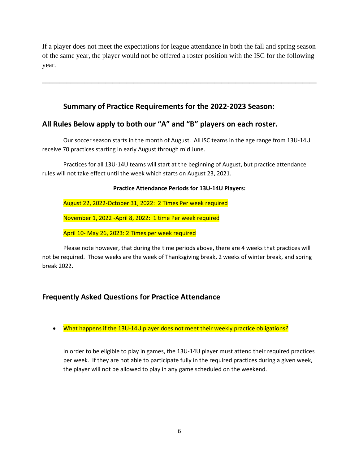If a player does not meet the expectations for league attendance in both the fall and spring season of the same year, the player would not be offered a roster position with the ISC for the following year.

**\_\_\_\_\_\_\_\_\_\_\_\_\_\_\_\_\_\_\_\_\_\_\_\_\_\_\_\_\_\_\_\_\_\_\_\_\_\_\_\_\_\_\_\_\_\_\_\_\_\_\_\_\_\_\_\_\_\_\_\_\_\_\_\_\_\_\_\_\_\_\_\_\_\_\_\_\_\_**

## **Summary of Practice Requirements for the 2022-2023 Season:**

## **All Rules Below apply to both our "A" and "B" players on each roster.**

Our soccer season starts in the month of August. All ISC teams in the age range from 13U-14U receive 70 practices starting in early August through mid June.

Practices for all 13U-14U teams will start at the beginning of August, but practice attendance rules will not take effect until the week which starts on August 23, 2021.

#### **Practice Attendance Periods for 13U-14U Players:**

August 22, 2022-October 31, 2022: 2 Times Per week required

November 1, 2022 -April 8, 2022: 1 time Per week required

April 10- May 26, 2023: 2 Times per week required

Please note however, that during the time periods above, there are 4 weeks that practices will not be required. Those weeks are the week of Thanksgiving break, 2 weeks of winter break, and spring break 2022.

## **Frequently Asked Questions for Practice Attendance**

• What happens if the 13U-14U player does not meet their weekly practice obligations?

In order to be eligible to play in games, the 13U-14U player must attend their required practices per week. If they are not able to participate fully in the required practices during a given week, the player will not be allowed to play in any game scheduled on the weekend.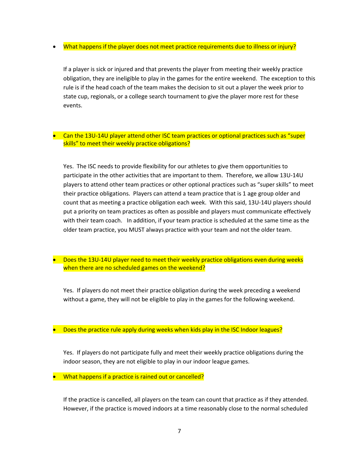• What happens if the player does not meet practice requirements due to illness or injury?

If a player is sick or injured and that prevents the player from meeting their weekly practice obligation, they are ineligible to play in the games for the entire weekend. The exception to this rule is if the head coach of the team makes the decision to sit out a player the week prior to state cup, regionals, or a college search tournament to give the player more rest for these events.

#### • Can the 13U-14U player attend other ISC team practices or optional practices such as "super skills" to meet their weekly practice obligations?

Yes. The ISC needs to provide flexibility for our athletes to give them opportunities to participate in the other activities that are important to them. Therefore, we allow 13U-14U players to attend other team practices or other optional practices such as "super skills" to meet their practice obligations. Players can attend a team practice that is 1 age group older and count that as meeting a practice obligation each week. With this said, 13U-14U players should put a priority on team practices as often as possible and players must communicate effectively with their team coach. In addition, if your team practice is scheduled at the same time as the older team practice, you MUST always practice with your team and not the older team.

#### • Does the 13U-14U player need to meet their weekly practice obligations even during weeks when there are no scheduled games on the weekend?

Yes. If players do not meet their practice obligation during the week preceding a weekend without a game, they will not be eligible to play in the games for the following weekend.

• Does the practice rule apply during weeks when kids play in the ISC Indoor leagues?

Yes. If players do not participate fully and meet their weekly practice obligations during the indoor season, they are not eligible to play in our indoor league games.

• What happens if a practice is rained out or cancelled?

If the practice is cancelled, all players on the team can count that practice as if they attended. However, if the practice is moved indoors at a time reasonably close to the normal scheduled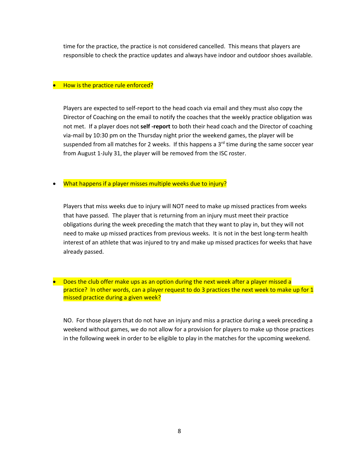time for the practice, the practice is not considered cancelled. This means that players are responsible to check the practice updates and always have indoor and outdoor shoes available.

#### • How is the practice rule enforced?

Players are expected to self-report to the head coach via email and they must also copy the Director of Coaching on the email to notify the coaches that the weekly practice obligation was not met. If a player does not **self -report** to both their head coach and the Director of coaching via-mail by 10:30 pm on the Thursday night prior the weekend games, the player will be suspended from all matches for 2 weeks. If this happens a  $3<sup>rd</sup>$  time during the same soccer year from August 1-July 31, the player will be removed from the ISC roster.

#### • What happens if a player misses multiple weeks due to injury?

Players that miss weeks due to injury will NOT need to make up missed practices from weeks that have passed. The player that is returning from an injury must meet their practice obligations during the week preceding the match that they want to play in, but they will not need to make up missed practices from previous weeks. It is not in the best long-term health interest of an athlete that was injured to try and make up missed practices for weeks that have already passed.

• Does the club offer make ups as an option during the next week after a player missed a practice? In other words, can a player request to do 3 practices the next week to make up for 1 missed practice during a given week?

NO. For those players that do not have an injury and miss a practice during a week preceding a weekend without games, we do not allow for a provision for players to make up those practices in the following week in order to be eligible to play in the matches for the upcoming weekend.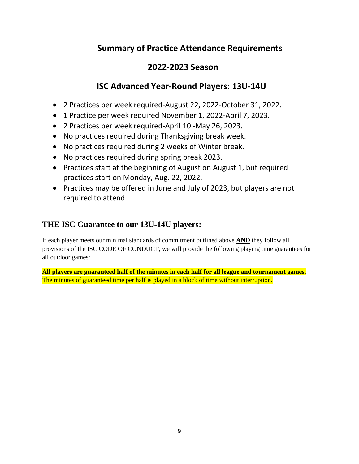# **Summary of Practice Attendance Requirements**

# **2022-2023 Season**

# **ISC Advanced Year-Round Players: 13U-14U**

- 2 Practices per week required-August 22, 2022-October 31, 2022.
- 1 Practice per week required November 1, 2022-April 7, 2023.
- 2 Practices per week required-April 10 -May 26, 2023.
- No practices required during Thanksgiving break week.
- No practices required during 2 weeks of Winter break.
- No practices required during spring break 2023.
- Practices start at the beginning of August on August 1, but required practices start on Monday, Aug. 22, 2022.
- Practices may be offered in June and July of 2023, but players are not required to attend.

# **THE ISC Guarantee to our 13U-14U players:**

If each player meets our minimal standards of commitment outlined above **AND** they follow all provisions of the ISC CODE OF CONDUCT, we will provide the following playing time guarantees for all outdoor games:

**All players are guaranteed half of the minutes in each half for all league and tournament games.**  The minutes of guaranteed time per half is played in a block of time without interruption.

\_\_\_\_\_\_\_\_\_\_\_\_\_\_\_\_\_\_\_\_\_\_\_\_\_\_\_\_\_\_\_\_\_\_\_\_\_\_\_\_\_\_\_\_\_\_\_\_\_\_\_\_\_\_\_\_\_\_\_\_\_\_\_\_\_\_\_\_\_\_\_\_\_\_\_\_\_\_\_\_\_\_\_\_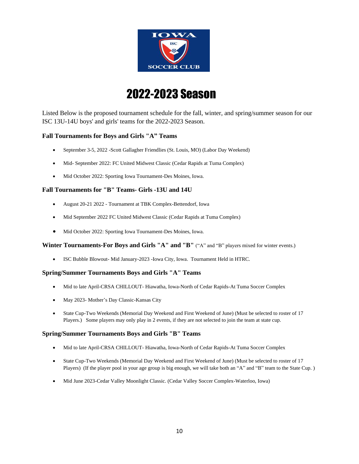

# 2022-2023 Season

Listed Below is the proposed tournament schedule for the fall, winter, and spring/summer season for our ISC 13U-14U boys' and girls' teams for the 2022-2023 Season.

#### **Fall Tournaments for Boys and Girls "A" Teams**

- September 3-5, 2022 -Scott Gallagher Friendlies (St. Louis, MO) (Labor Day Weekend)
- Mid- September 2022: FC United Midwest Classic (Cedar Rapids at Tuma Complex)
- Mid October 2022: Sporting Iowa Tournament-Des Moines, Iowa.

#### **Fall Tournaments for "B" Teams- Girls -13U and 14U**

- August 20-21 2022 Tournament at TBK Complex-Bettendorf, Iowa
- Mid September 2022 FC United Midwest Classic (Cedar Rapids at Tuma Complex)
- Mid October 2022: Sporting Iowa Tournament-Des Moines, Iowa.

#### **Winter Tournaments-For Boys and Girls "A" and "B"** ("A" and "B" players mixed for winter events.)

• ISC Bubble Blowout- Mid January-2023 -Iowa City, Iowa. Tournament Held in HTRC.

#### **Spring/Summer Tournaments Boys and Girls "A" Teams**

- Mid to late April-CRSA CHILLOUT- Hiawatha, Iowa-North of Cedar Rapids-At Tuma Soccer Complex
- May 2023- Mother's Day Classic-Kansas City
- State Cup-Two Weekends (Memorial Day Weekend and First Weekend of June) (Must be selected to roster of 17 Players.) Some players may only play in 2 events, if they are not selected to join the team at state cup.

#### **Spring/Summer Tournaments Boys and Girls "B" Teams**

- Mid to late April-CRSA CHILLOUT- Hiawatha, Iowa-North of Cedar Rapids-At Tuma Soccer Complex
- State Cup-Two Weekends (Memorial Day Weekend and First Weekend of June) (Must be selected to roster of 17 Players) (If the player pool in your age group is big enough, we will take both an "A" and "B" team to the State Cup. )
- Mid June 2023-Cedar Valley Moonlight Classic. (Cedar Valley Soccer Complex-Waterloo, Iowa)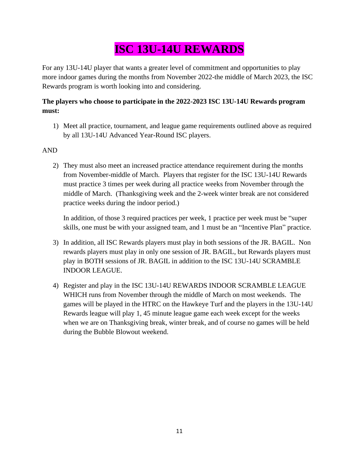# **ISC 13U-14U REWARDS**

For any 13U-14U player that wants a greater level of commitment and opportunities to play more indoor games during the months from November 2022-the middle of March 2023, the ISC Rewards program is worth looking into and considering.

## **The players who choose to participate in the 2022-2023 ISC 13U-14U Rewards program must:**

1) Meet all practice, tournament, and league game requirements outlined above as required by all 13U-14U Advanced Year-Round ISC players.

### AND

2) They must also meet an increased practice attendance requirement during the months from November-middle of March. Players that register for the ISC 13U-14U Rewards must practice 3 times per week during all practice weeks from November through the middle of March. (Thanksgiving week and the 2-week winter break are not considered practice weeks during the indoor period.)

In addition, of those 3 required practices per week, 1 practice per week must be "super skills, one must be with your assigned team, and 1 must be an "Incentive Plan" practice.

- 3) In addition, all ISC Rewards players must play in both sessions of the JR. BAGIL. Non rewards players must play in only one session of JR. BAGIL, but Rewards players must play in BOTH sessions of JR. BAGIL in addition to the ISC 13U-14U SCRAMBLE INDOOR LEAGUE.
- 4) Register and play in the ISC 13U-14U REWARDS INDOOR SCRAMBLE LEAGUE WHICH runs from November through the middle of March on most weekends. The games will be played in the HTRC on the Hawkeye Turf and the players in the 13U-14U Rewards league will play 1, 45 minute league game each week except for the weeks when we are on Thanksgiving break, winter break, and of course no games will be held during the Bubble Blowout weekend.